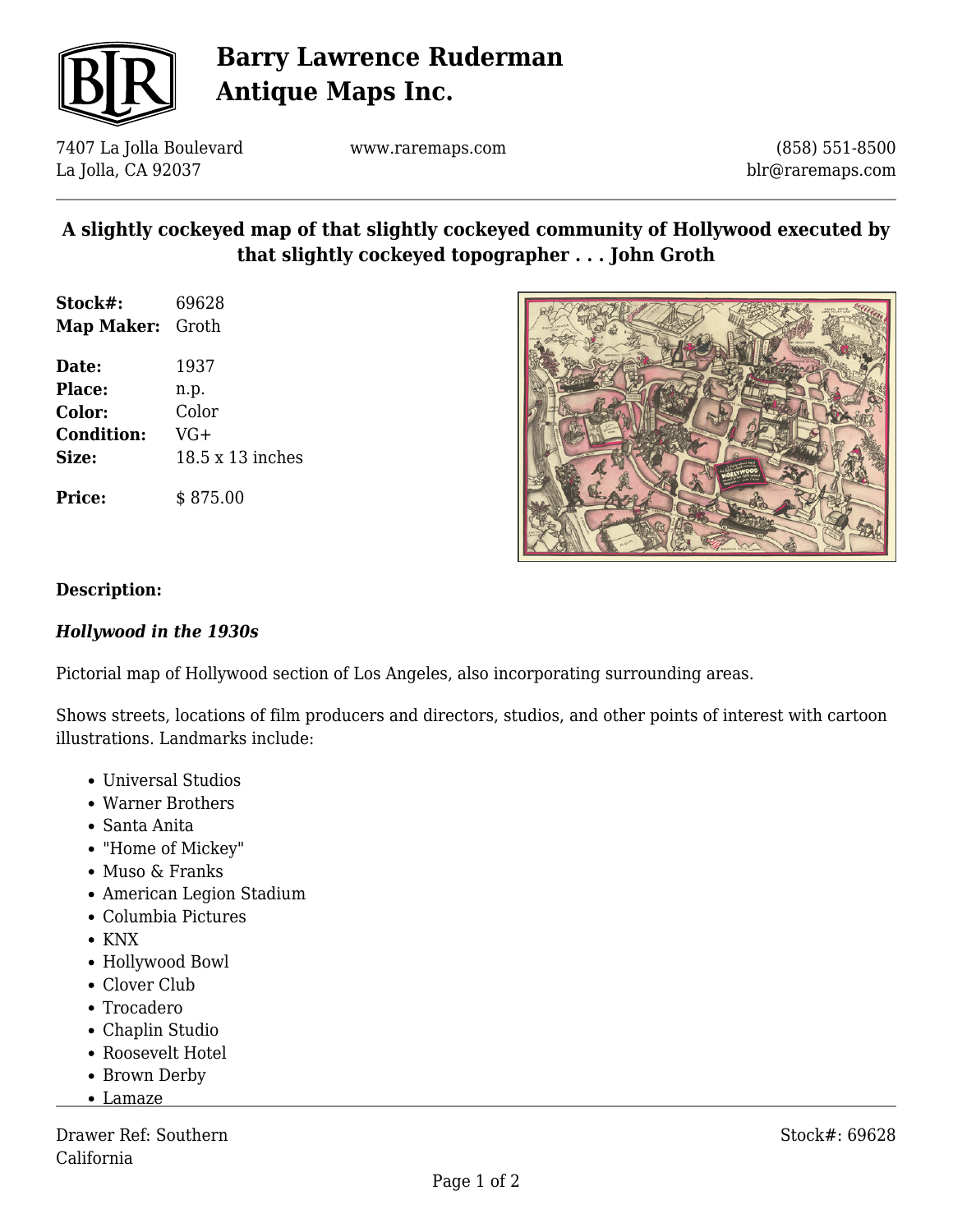

# **Barry Lawrence Ruderman Antique Maps Inc.**

7407 La Jolla Boulevard La Jolla, CA 92037

www.raremaps.com

(858) 551-8500 blr@raremaps.com

## **A slightly cockeyed map of that slightly cockeyed community of Hollywood executed by that slightly cockeyed topographer . . . John Groth**

| Stock#:           | 69628            |
|-------------------|------------------|
| Map Maker:        | Groth            |
| Date:             | 1937             |
| <b>Place:</b>     | n.p.             |
| <b>Color:</b>     | Color            |
| <b>Condition:</b> | VG+              |
| Size:             | 18.5 x 13 inches |
|                   |                  |



### **Description:**

#### *Hollywood in the 1930s*

**Price:** \$ 875.00

Pictorial map of Hollywood section of Los Angeles, also incorporating surrounding areas.

Shows streets, locations of film producers and directors, studios, and other points of interest with cartoon illustrations. Landmarks include:

- Universal Studios
- Warner Brothers
- Santa Anita
- "Home of Mickey"
- Muso & Franks
- American Legion Stadium
- Columbia Pictures
- KNX
- Hollywood Bowl
- Clover Club
- Trocadero
- Chaplin Studio
- Roosevelt Hotel
- Brown Derby
- Lamaze

Drawer Ref: Southern California